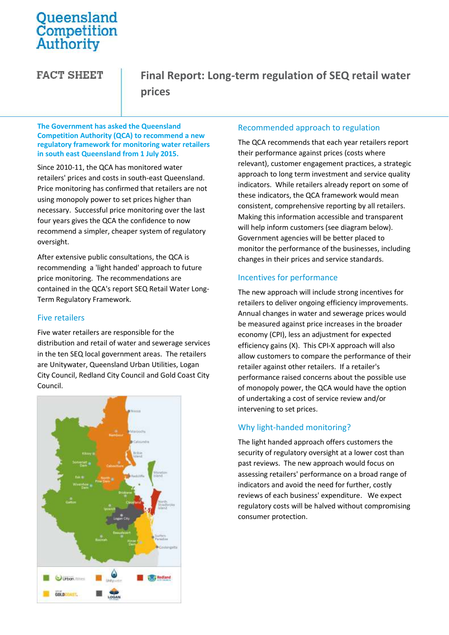# Queensland<br>Competition **Authority**

**FACT SHEET** 

**Final Report: Long-term regulation of SEQ retail water prices**

**The Government has asked the Queensland Competition Authority (QCA) to recommend a new regulatory framework for monitoring water retailers in south east Queensland from 1 July 2015.**

Since 2010-11, the QCA has monitored water retailers' prices and costs in south-east Queensland. Price monitoring has confirmed that retailers are not using monopoly power to set prices higher than necessary. Successful price monitoring over the last four years gives the QCA the confidence to now recommend a simpler, cheaper system of regulatory oversight.

After extensive public consultations, the QCA is recommending a 'light handed' approach to future price monitoring. The recommendations are contained in the QCA's report SEQ Retail Water Long-Term Regulatory Framework.

# Five retailers

Five water retailers are responsible for the distribution and retail of water and sewerage services in the ten SEQ local government areas. The retailers are Unitywater, Queensland Urban Utilities, Logan City Council, Redland City Council and Gold Coast City Council.



# Recommended approach to regulation

The QCA recommends that each year retailers report their performance against prices (costs where relevant), customer engagement practices, a strategic approach to long term investment and service quality indicators. While retailers already report on some of these indicators, the QCA framework would mean consistent, comprehensive reporting by all retailers. Making this information accessible and transparent will help inform customers (see diagram below). Government agencies will be better placed to monitor the performance of the businesses, including changes in their prices and service standards.

# Incentives for performance

The new approach will include strong incentives for retailers to deliver ongoing efficiency improvements. Annual changes in water and sewerage prices would be measured against price increases in the broader economy (CPI), less an adjustment for expected efficiency gains (X). This CPI-X approach will also allow customers to compare the performance of their retailer against other retailers. If a retailer's performance raised concerns about the possible use of monopoly power, the QCA would have the option of undertaking a cost of service review and/or intervening to set prices.

# Why light-handed monitoring?

The light handed approach offers customers the security of regulatory oversight at a lower cost than past reviews. The new approach would focus on assessing retailers' performance on a broad range of indicators and avoid the need for further, costly reviews of each business' expenditure. We expect regulatory costs will be halved without compromising consumer protection.